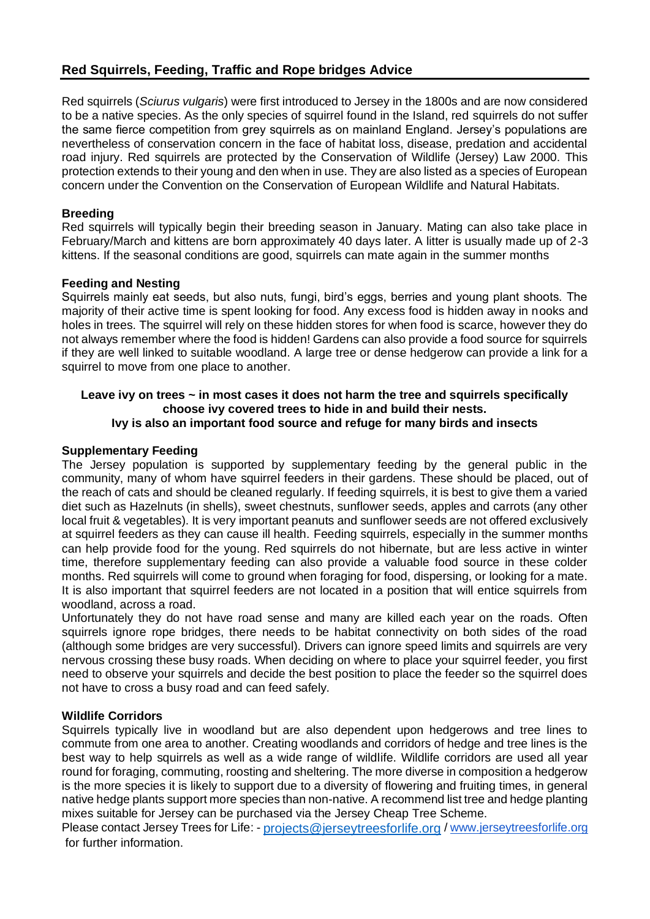# **Red Squirrels, Feeding, Traffic and Rope bridges Advice**

Red squirrels (*Sciurus vulgaris*) were first introduced to Jersey in the 1800s and are now considered to be a native species. As the only species of squirrel found in the Island, red squirrels do not suffer the same fierce competition from grey squirrels as on mainland England. Jersey's populations are nevertheless of conservation concern in the face of habitat loss, disease, predation and accidental road injury. Red squirrels are protected by the Conservation of Wildlife (Jersey) Law 2000. This protection extends to their young and den when in use. They are also listed as a species of European concern under the Convention on the Conservation of European Wildlife and Natural Habitats.

## **Breeding**

Red squirrels will typically begin their breeding season in January. Mating can also take place in February/March and kittens are born approximately 40 days later. A litter is usually made up of 2-3 kittens. If the seasonal conditions are good, squirrels can mate again in the summer months

## **Feeding and Nesting**

Squirrels mainly eat seeds, but also nuts, fungi, bird's eggs, berries and young plant shoots. The majority of their active time is spent looking for food. Any excess food is hidden away in nooks and holes in trees. The squirrel will rely on these hidden stores for when food is scarce, however they do not always remember where the food is hidden! Gardens can also provide a food source for squirrels if they are well linked to suitable woodland. A large tree or dense hedgerow can provide a link for a squirrel to move from one place to another.

#### **Leave ivy on trees ~ in most cases it does not harm the tree and squirrels specifically choose ivy covered trees to hide in and build their nests. Ivy is also an important food source and refuge for many birds and insects**

## **Supplementary Feeding**

The Jersey population is supported by supplementary feeding by the general public in the community, many of whom have squirrel feeders in their gardens. These should be placed, out of the reach of cats and should be cleaned regularly. If feeding squirrels, it is best to give them a varied diet such as Hazelnuts (in shells), sweet chestnuts, sunflower seeds, apples and carrots (any other local fruit & vegetables). It is very important peanuts and sunflower seeds are not offered exclusively at squirrel feeders as they can cause ill health. Feeding squirrels, especially in the summer months can help provide food for the young. Red squirrels do not hibernate, but are less active in winter time, therefore supplementary feeding can also provide a valuable food source in these colder months. Red squirrels will come to ground when foraging for food, dispersing, or looking for a mate. It is also important that squirrel feeders are not located in a position that will entice squirrels from woodland, across a road.

Unfortunately they do not have road sense and many are killed each year on the roads. Often squirrels ignore rope bridges, there needs to be habitat connectivity on both sides of the road (although some bridges are very successful). Drivers can ignore speed limits and squirrels are very nervous crossing these busy roads. When deciding on where to place your squirrel feeder, you first need to observe your squirrels and decide the best position to place the feeder so the squirrel does not have to cross a busy road and can feed safely.

## **Wildlife Corridors**

Squirrels typically live in woodland but are also dependent upon hedgerows and tree lines to commute from one area to another. Creating woodlands and corridors of hedge and tree lines is the best way to help squirrels as well as a wide range of wildlife. Wildlife corridors are used all year round for foraging, commuting, roosting and sheltering. The more diverse in composition a hedgerow is the more species it is likely to support due to a diversity of flowering and fruiting times, in general native hedge plants support more species than non-native. A recommend list tree and hedge planting mixes suitable for Jersey can be purchased via the Jersey Cheap Tree Scheme.

Please contact Jersey Trees for Life: - [projects@jerseytreesforlife.org](mailto:projects@jerseytreesforlife.org) [/ www.jerseytreesforlife.org](http://www.jerseytreesforlife.org/) for further information.